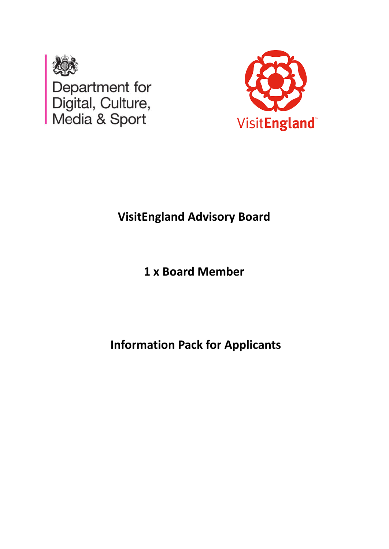



# **VisitEngland Advisory Board**

**1 x Board Member**

**Information Pack for Applicants**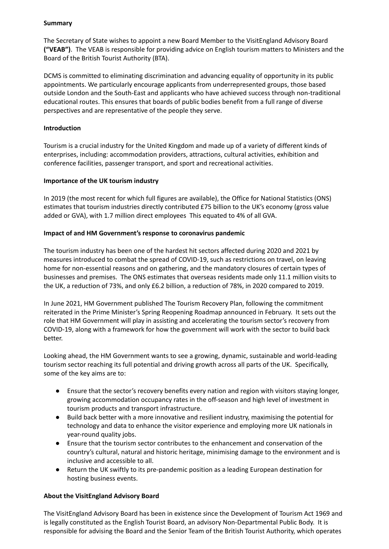## **Summary**

The Secretary of State wishes to appoint a new Board Member to the VisitEngland Advisory Board **("VEAB")**. The VEAB is responsible for providing advice on English tourism matters to Ministers and the Board of the British Tourist Authority (BTA).

DCMS is committed to eliminating discrimination and advancing equality of opportunity in its public appointments. We particularly encourage applicants from underrepresented groups, those based outside London and the South-East and applicants who have achieved success through non-traditional educational routes. This ensures that boards of public bodies benefit from a full range of diverse perspectives and are representative of the people they serve.

## **Introduction**

Tourism is a crucial industry for the United Kingdom and made up of a variety of different kinds of enterprises, including: accommodation providers, attractions, cultural activities, exhibition and conference facilities, passenger transport, and sport and recreational activities.

## **Importance of the UK tourism industry**

In 2019 (the most recent for which full figures are available), the Office for National Statistics (ONS) estimates that tourism industries directly contributed £75 billion to the UK's economy (gross value added or GVA), with 1.7 million direct employees This equated to 4% of all GVA.

## **Impact of and HM Government's response to coronavirus pandemic**

The tourism industry has been one of the hardest hit sectors affected during 2020 and 2021 by measures introduced to combat the spread of COVID-19, such as restrictions on travel, on leaving home for non-essential reasons and on gathering, and the mandatory closures of certain types of businesses and premises. The ONS estimates that overseas residents made only 11.1 million visits to the UK, a reduction of 73%, and only £6.2 billion, a reduction of 78%, in 2020 compared to 2019.

In June 2021, HM Government published The Tourism Recovery Plan, following the commitment reiterated in the Prime Minister's Spring Reopening Roadmap announced in February. It sets out the role that HM Government will play in assisting and accelerating the tourism sector's recovery from COVID-19, along with a framework for how the government will work with the sector to build back better.

Looking ahead, the HM Government wants to see a growing, dynamic, sustainable and world-leading tourism sector reaching its full potential and driving growth across all parts of the UK. Specifically, some of the key aims are to:

- Ensure that the sector's recovery benefits every nation and region with visitors staying longer, growing accommodation occupancy rates in the off-season and high level of investment in tourism products and transport infrastructure.
- Build back better with a more innovative and resilient industry, maximising the potential for technology and data to enhance the visitor experience and employing more UK nationals in year-round quality jobs.
- Ensure that the tourism sector contributes to the enhancement and conservation of the country's cultural, natural and historic heritage, minimising damage to the environment and is inclusive and accessible to all.
- Return the UK swiftly to its pre-pandemic position as a leading European destination for hosting business events.

# **About the VisitEngland Advisory Board**

The VisitEngland Advisory Board has been in existence since the Development of Tourism Act 1969 and is legally constituted as the English Tourist Board, an advisory Non-Departmental Public Body. It is responsible for advising the Board and the Senior Team of the British Tourist Authority, which operates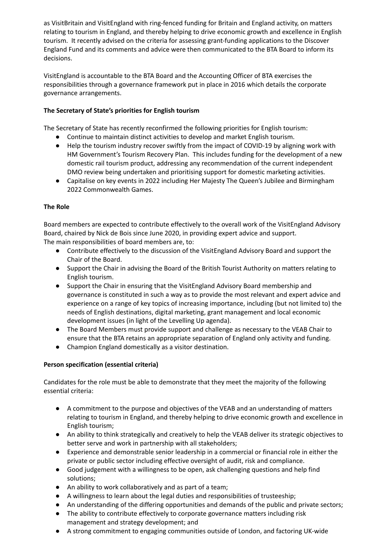as VisitBritain and VisitEngland with ring-fenced funding for Britain and England activity, on matters relating to tourism in England, and thereby helping to drive economic growth and excellence in English tourism. It recently advised on the criteria for assessing grant-funding applications to the Discover England Fund and its comments and advice were then communicated to the BTA Board to inform its decisions.

VisitEngland is accountable to the BTA Board and the Accounting Officer of BTA exercises the responsibilities through a governance framework put in place in 2016 which details the corporate governance arrangements.

# **The Secretary of State's priorities for English tourism**

The Secretary of State has recently reconfirmed the following priorities for English tourism:

- Continue to maintain distinct activities to develop and market English tourism.
- Help the tourism industry recover swiftly from the impact of COVID-19 by aligning work with HM Government's Tourism Recovery Plan. This includes funding for the development of a new domestic rail tourism product, addressing any recommendation of the current independent DMO review being undertaken and prioritising support for domestic marketing activities.
- Capitalise on key events in 2022 including Her Majesty The Queen's Jubilee and Birmingham 2022 Commonwealth Games.

# **The Role**

Board members are expected to contribute effectively to the overall work of the VisitEngland Advisory Board, chaired by Nick de Bois since June 2020, in providing expert advice and support. The main responsibilities of board members are, to:

- Contribute effectively to the discussion of the VisitEngland Advisory Board and support the Chair of the Board.
- Support the Chair in advising the Board of the British Tourist Authority on matters relating to English tourism.
- Support the Chair in ensuring that the VisitEngland Advisory Board membership and governance is constituted in such a way as to provide the most relevant and expert advice and experience on a range of key topics of increasing importance, including (but not limited to) the needs of English destinations, digital marketing, grant management and local economic development issues (in light of the Levelling Up agenda).
- The Board Members must provide support and challenge as necessary to the VEAB Chair to ensure that the BTA retains an appropriate separation of England only activity and funding.
- Champion England domestically as a visitor destination.

# **Person specification (essential criteria)**

Candidates for the role must be able to demonstrate that they meet the majority of the following essential criteria:

- A commitment to the purpose and objectives of the VEAB and an understanding of matters relating to tourism in England, and thereby helping to drive economic growth and excellence in English tourism;
- An ability to think strategically and creatively to help the VEAB deliver its strategic objectives to better serve and work in partnership with all stakeholders;
- Experience and demonstrable senior leadership in a commercial or financial role in either the private or public sector including effective oversight of audit, risk and compliance.
- Good judgement with a willingness to be open, ask challenging questions and help find solutions;
- An ability to work collaboratively and as part of a team;
- A willingness to learn about the legal duties and responsibilities of trusteeship;
- An understanding of the differing opportunities and demands of the public and private sectors;
- The ability to contribute effectively to corporate governance matters including risk management and strategy development; and
- A strong commitment to engaging communities outside of London, and factoring UK-wide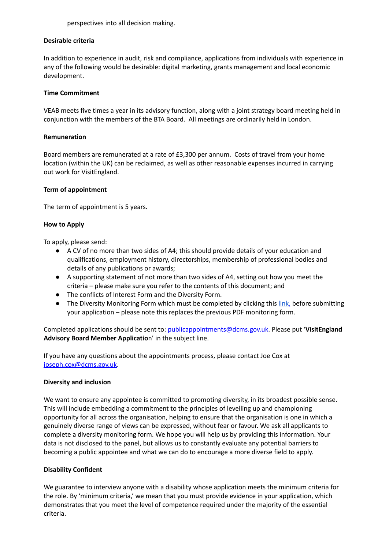perspectives into all decision making.

## **Desirable criteria**

In addition to experience in audit, risk and compliance, applications from individuals with experience in any of the following would be desirable: digital marketing, grants management and local economic development.

#### **Time Commitment**

VEAB meets five times a year in its advisory function, along with a joint strategy board meeting held in conjunction with the members of the BTA Board. All meetings are ordinarily held in London.

#### **Remuneration**

Board members are remunerated at a rate of £3,300 per annum. Costs of travel from your home location (within the UK) can be reclaimed, as well as other reasonable expenses incurred in carrying out work for VisitEngland.

#### **Term of appointment**

The term of appointment is 5 years.

#### **How to Apply**

To apply, please send:

- A CV of no more than two sides of A4; this should provide details of your education and qualifications, employment history, directorships, membership of professional bodies and details of any publications or awards;
- A supporting statement of not more than two sides of A4, setting out how you meet the criteria – please make sure you refer to the contents of this document; and
- The conflicts of Interest Form and the Diversity Form.
- The Diversity Monitoring Form which must be completed by clicking this [link,](https://forms.gle/p6BWrynoZJRc9bUDA) before submitting your application – please note this replaces the previous PDF monitoring form.

Completed applications should be sent to: [publicappointments@dcms.gov.uk](mailto:publicappointments@dcms.gov.uk). Please put '**VisitEngland Advisory Board Member Applicatio**n' in the subject line.

If you have any questions about the appointments process, please contact Joe Cox at [joseph.cox@dcms.gov.uk](mailto:joseph.cox@dcms.gov.uk).

## **Diversity and inclusion**

We want to ensure any appointee is committed to promoting diversity, in its broadest possible sense. This will include embedding a commitment to the principles of levelling up and championing opportunity for all across the organisation, helping to ensure that the organisation is one in which a genuinely diverse range of views can be expressed, without fear or favour. We ask all applicants to complete a diversity monitoring form. We hope you will help us by providing this information. Your data is not disclosed to the panel, but allows us to constantly evaluate any potential barriers to becoming a public appointee and what we can do to encourage a more diverse field to apply.

## **Disability Confident**

We guarantee to interview anyone with a disability whose application meets the minimum criteria for the role. By 'minimum criteria,' we mean that you must provide evidence in your application, which demonstrates that you meet the level of competence required under the majority of the essential criteria.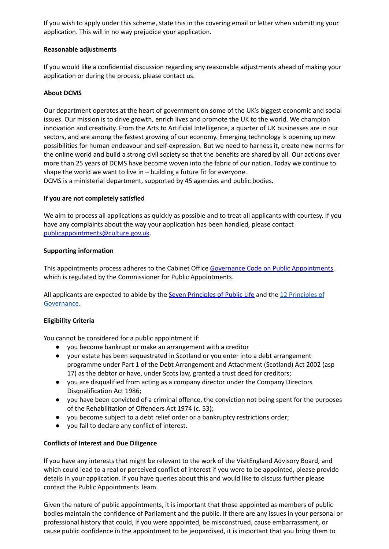If you wish to apply under this scheme, state this in the covering email or letter when submitting your application. This will in no way prejudice your application.

## **Reasonable adjustments**

If you would like a confidential discussion regarding any reasonable adjustments ahead of making your application or during the process, please contact us.

# **About DCMS**

Our department operates at the heart of government on some of the UK's biggest economic and social issues. Our mission is to drive growth, enrich lives and promote the UK to the world. We champion innovation and creativity. From the Arts to Artificial Intelligence, a quarter of UK businesses are in our sectors, and are among the fastest growing of our economy. Emerging technology is opening up new possibilities for human endeavour and self-expression. But we need to harness it, create new norms for the online world and build a strong civil society so that the benefits are shared by all. Our actions over more than 25 years of DCMS have become woven into the fabric of our nation. Today we continue to shape the world we want to live in – building a future fit for everyone.

DCMS is a ministerial department, supported by 45 agencies and public bodies.

## **If you are not completely satisfied**

We aim to process all applications as quickly as possible and to treat all applicants with courtesy. If you have any complaints about the way your application has been handled, please contact [publicappointments@culture.gov.uk](mailto:publicappointments@culture.gov.uk).

## **Supporting information**

This appointments process adheres to the Cabinet Office Governance Code on Public [Appointments,](https://assets.publishing.service.gov.uk/government/uploads/system/uploads/attachment_data/file/578498/governance_code_on_public_appointments_16_12_2016.pdf) which is regulated by the Commissioner for Public Appointments.

All applicants are expected to abide by the Seven [Principles](https://www.gov.uk/government/publications/public-bodies-non-executive-director-principles/12-principles-of-governance-for-all-public-body-neds) of Public Life and the 12 Principles of [Governance.](https://www.gov.uk/government/publications/public-bodies-non-executive-director-principles/12-principles-of-governance-for-all-public-body-neds)

# **Eligibility Criteria**

You cannot be considered for a public appointment if:

- you become bankrupt or make an arrangement with a creditor
- your estate has been sequestrated in Scotland or you enter into a debt arrangement programme under Part 1 of the Debt Arrangement and Attachment (Scotland) Act 2002 (asp 17) as the debtor or have, under Scots law, granted a trust deed for creditors;
- you are disqualified from acting as a company director under the Company Directors Disqualification Act 1986;
- you have been convicted of a criminal offence, the conviction not being spent for the purposes of the Rehabilitation of Offenders Act 1974 (c. 53);
- you become subject to a debt relief order or a bankruptcy restrictions order;
- you fail to declare any conflict of interest.

# **Conflicts of Interest and Due Diligence**

If you have any interests that might be relevant to the work of the VisitEngland Advisory Board, and which could lead to a real or perceived conflict of interest if you were to be appointed, please provide details in your application. If you have queries about this and would like to discuss further please contact the Public Appointments Team.

Given the nature of public appointments, it is important that those appointed as members of public bodies maintain the confidence of Parliament and the public. If there are any issues in your personal or professional history that could, if you were appointed, be misconstrued, cause embarrassment, or cause public confidence in the appointment to be jeopardised, it is important that you bring them to